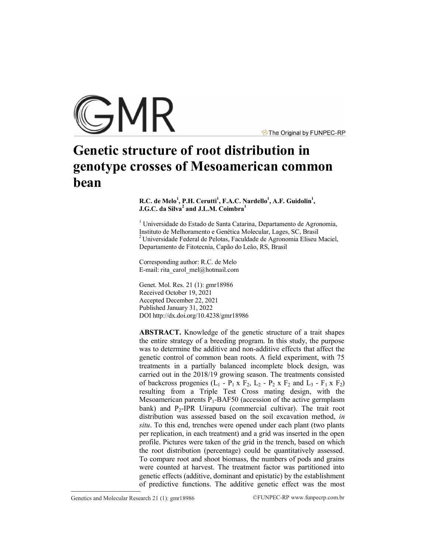

The Original by FUNPEC-RP

# **Genetic structure of root distribution in genotype crosses of Mesoamerican common bean**

## **R.C. de Melo<sup>1</sup> , P.H. Cerutti<sup>1</sup> , F.A.C. Nardello<sup>1</sup> , A.F. Guidolin<sup>1</sup> , J.G.C. da Silva<sup>2</sup> and J.L.M. Coimbra<sup>1</sup>**

<sup>1</sup> Universidade do Estado de Santa Catarina, Departamento de Agronomia, Instituto de Melhoramento e Genética Molecular, Lages, SC, Brasil  $2$ Universidade Federal de Pelotas, Faculdade de Agronomia Eliseu Maciel, Departamento de Fitotecnia, Capão do Leão, RS, Brasil

Corresponding author: R.C. de Melo E-mail: [rita\\_carol\\_mel@hotmail.com](mailto:rita_carol_mel@hotmail.com)

Genet. Mol. Res. 21 (1): gmr18986 Received October 19, 2021 Accepted December 22, 2021 Published January 31, 2022 DO[I http://dx.doi.org/10.4238/gmr189](http://dx.doi.org/10.4238/gmr185)86

**ABSTRACT.** Knowledge of the genetic structure of a trait shapes the entire strategy of a breeding program. In this study, the purpose was to determine the additive and non-additive effects that affect the genetic control of common bean roots. A field experiment, with 75 treatments in a partially balanced incomplete block design, was carried out in the 2018/19 growing season. The treatments consisted of backcross progenies  $(L_1 - P_1 \times F_2, L_2 - P_2 \times F_2$  and  $L_3 - F_1 \times F_2)$ resulting from a Triple Test Cross mating design, with the Mesoamerican parents  $P_1$ -BAF50 (accession of the active germplasm bank) and  $P_2$ -IPR Uirapuru (commercial cultivar). The trait root distribution was assessed based on the soil excavation method, *in situ*. To this end, trenches were opened under each plant (two plants per replication, in each treatment) and a grid was inserted in the open profile. Pictures were taken of the grid in the trench, based on which the root distribution (percentage) could be quantitatively assessed. To compare root and shoot biomass, the numbers of pods and grains were counted at harvest. The treatment factor was partitioned into genetic effects (additive, dominant and epistatic) by the establishment of predictive functions. The additive genetic effect was the most

Genetics and Molecular Research 21 (1): gmr18986 ©FUNPEC-RP www.funpecrp.com.br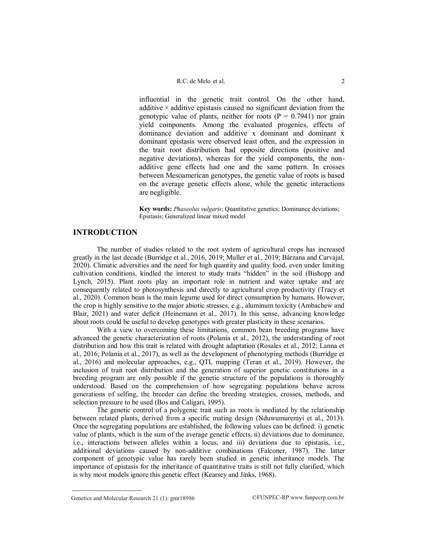influential in the genetic trait control. On the other hand, additive  $\times$  additive epistasis caused no significant deviation from the genotypic value of plants, neither for roots ( $P = 0.7941$ ) nor grain yield components. Among the evaluated progenies, effects of dominance deviation and additive x dominant and dominant x dominant epistasis were observed least often, and the expression in the trait root distribution had opposite directions (positive and negative deviations), whereas for the yield components, the nonadditive gene effects had one and the same pattern. In crosses between Mesoamerican genotypes, the genetic value of roots is based on the average genetic effects alone, while the genetic interactions are negligible.

**Key words:** *Phaseolus vulgaris*; Quantitative genetics; Dominance deviations; Epistasis; Generalized linear mixed model

# **INTRODUCTION**

The number of studies related to the root system of agricultural crops has increased greatly in the last decade (Burridge et al., 2016, 2019; Muller et al., 2019; Bárzana and Carvajal, 2020). Climatic adversities and the need for high quantity and quality food, even under limiting cultivation conditions, kindled the interest to study traits "hidden" in the soil (Bishopp and Lynch, 2015). Plant roots play an important role in nutrient and water uptake and are consequently related to photosynthesis and directly to agricultural crop productivity (Tracy et al., 2020). Common bean is the main legume used for direct consumption by humans. However, the crop is highly sensitive to the major abiotic stresses, e.g., aluminum toxicity (Ambachew and Blair, 2021) and water deficit (Heinemann et al., 2017). In this sense, advancing knowledge about roots could be useful to develop genotypes with greater plasticity in these scenarios.

With a view to overcoming these limitations, common bean breeding programs have advanced the genetic characterization of roots (Polanía et al., 2012), the understanding of root distribution and how this trait is related with drought adaptation (Rosales et al., 2012; Lanna et al., 2016; Polanía et al., 2017), as well as the development of phenotyping methods (Burridge et al., 2016) and molecular approaches, e.g., QTL mapping (Teran et al., 2019). However, the inclusion of trait root distribution and the generation of superior genetic constitutions in a breeding program are only possible if the genetic structure of the populations is thoroughly understood. Based on the comprehension of how segregating populations behave across generations of selfing, the breeder can define the breeding strategies, crosses, methods, and selection pressure to be used (Bos and Caligari, 1995).

The genetic control of a polygenic trait such as roots is mediated by the relationship between related plants, derived from a specific mating design (Nduwumuremyi et al., 2013). Once the segregating populations are established, the following values can be defined: i) genetic value of plants, which is the sum of the average genetic effects, ii) deviations due to dominance, i.e., interactions between alleles within a locus, and iii) deviations due to epistasis, i.e., additional deviations caused by non-additive combinations (Falconer, 1987). The latter component of genotypic value has rarely been studied in genetic inheritance models. The importance of epistasis for the inheritance of quantitative traits is still not fully clarified, which is why most models ignore this genetic effect (Kearsey and Jinks, 1968).

Genetics and Molecular Research 21 (1): gmr18986 ©FUNPEC-RP www.funpecrp.com.br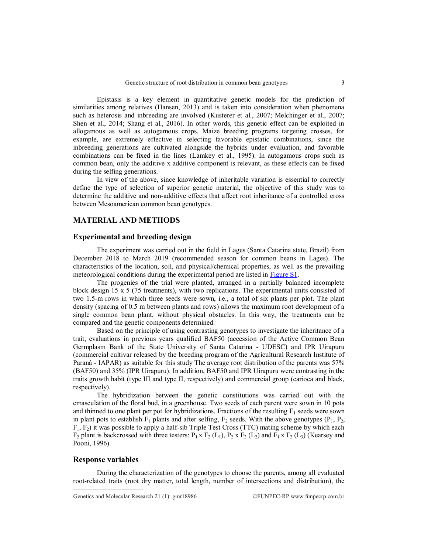Epistasis is a key element in quantitative genetic models for the prediction of similarities among relatives (Hansen, 2013) and is taken into consideration when phenomena such as heterosis and inbreeding are involved (Kusterer et al., 2007; Melchinger et al., 2007; Shen et al., 2014; Shang et al., 2016). In other words, this genetic effect can be exploited in allogamous as well as autogamous crops. Maize breeding programs targeting crosses, for example, are extremely effective in selecting favorable epistatic combinations, since the inbreeding generations are cultivated alongside the hybrids under evaluation, and favorable combinations can be fixed in the lines (Lamkey et al., 1995). In autogamous crops such as common bean, only the additive x additive component is relevant, as these effects can be fixed during the selfing generations.

In view of the above, since knowledge of inheritable variation is essential to correctly define the type of selection of superior genetic material, the objective of this study was to determine the additive and non-additive effects that affect root inheritance of a controlled cross between Mesoamerican common bean genotypes.

# **MATERIAL AND METHODS**

## **Experimental and breeding design**

The experiment was carried out in the field in Lages (Santa Catarina state, Brazil) from December 2018 to March 2019 (recommended season for common beans in Lages). The characteristics of the location, soil, and physical/chemical properties, as well as the prevailing meteorological conditions during the experimental period are listed in [Figure S1.](http://www.funpecrp.com.br/gmr/articles/year2022/vol21-1/pdf/gmr18986_-_supplementary1.pdf)

The progenies of the trial were planted, arranged in a partially balanced incomplete block design 15  $\times$  5 (75 treatments), with two replications. The experimental units consisted of two 1.5-m rows in which three seeds were sown, i.e., a total of six plants per plot. The plant density (spacing of 0.5 m between plants and rows) allows the maximum root development of a single common bean plant, without physical obstacles. In this way, the treatments can be compared and the genetic components determined.

Based on the principle of using contrasting genotypes to investigate the inheritance of a trait, evaluations in previous years qualified BAF50 (accession of the Active Common Bean Germplasm Bank of the State University of Santa Catarina - UDESC) and IPR Uirapuru (commercial cultivar released by the breeding program of the Agricultural Research Institute of Paraná - IAPAR) as suitable for this study The average root distribution of the parents was 57% (BAF50) and 35% (IPR Uirapuru). In addition, BAF50 and IPR Uirapuru were contrasting in the traits growth habit (type III and type II, respectively) and commercial group (carioca and black, respectively).

The hybridization between the genetic constitutions was carried out with the emasculation of the floral bud, in a greenhouse. Two seeds of each parent were sown in 10 pots and thinned to one plant per pot for hybridizations. Fractions of the resulting  $F_1$  seeds were sown in plant pots to establish  $F_1$  plants and after selfing,  $F_2$  seeds. With the above genotypes ( $P_1$ ,  $P_2$ ,  $F_1$ ,  $F_2$ ) it was possible to apply a half-sib Triple Test Cross (TTC) mating scheme by which each  $F_2$  plant is backcrossed with three testers:  $P_1$  x  $F_2$  (L<sub>1</sub>),  $P_2$  x  $F_2$  (L<sub>2</sub>) and  $F_1$  x  $F_2$  (L<sub>3</sub>) (Kearsey and Pooni, 1996).

#### **Response variables**

During the characterization of the genotypes to choose the parents, among all evaluated root-related traits (root dry matter, total length, number of intersections and distribution), the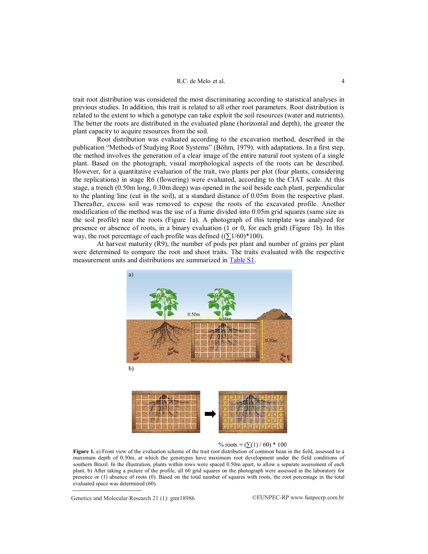#### R.C. de Melo et al. 4

trait root distribution was considered the most discriminating according to statistical analyses in previous studies. In addition, this trait is related to all other root parameters. Root distribution is related to the extent to which a genotype can take exploit the soil resources (water and nutrients). The better the roots are distributed in the evaluated plane (horizontal and depth), the greater the plant capacity to acquire resources from the soil.

Root distribution was evaluated according to the excavation method, described in the publication "Methods of Studying Root Systems" (Böhm, 1979)*,* with adaptations. In a first step, the method involves the generation of a clear image of the entire natural root system of a single plant. Based on the photograph, visual morphological aspects of the roots can be described. However, for a quantitative evaluation of the trait, two plants per plot (four plants, considering the replications) in stage R6 (flowering) were evaluated, according to the CIAT scale. At this stage, a trench (0.50m long, 0.30m deep) was opened in the soil beside each plant, perpendicular to the planting line (cut in the soil), at a standard distance of 0.05m from the respective plant. Thereafter, excess soil was removed to expose the roots of the excavated profile. Another modification of the method was the use of a frame divided into 0.05m grid squares (same size as the soil profile) near the roots (Figure 1a). A photograph of this template was analyzed for presence or absence of roots, in a binary evaluation (1 or 0, for each grid) (Figure 1b). In this way, the root percentage of each profile was defined  $((\Sigma 1/60) * 100)$ .

At harvest maturity (R9), the number of pods per plant and number of grains per plant were determined to compare the root and shoot traits. The traits evaluated with the respective measurement units and distributions are summarized in [Table S1.](http://www.funpecrp.com.br/gmr/articles/year2022/vol21-1/pdf/gmr18986_-_supplementary1.pdf)



% roots =  $(\Sigma(1)/60)$  \* 100

**Figure 1.** a) Front view of the evaluation scheme of the trait root distribution of common bean in the field, assessed to a maximum depth of 0.30m, at which the genotypes have maximum root development under the field conditions of southern Brazil. In the illustration, plants within rows were spaced 0.50m apart, to allow a separate assessment of each plant. b) After taking a picture of the profile, all 60 grid squares on the photograph were assessed in the laboratory for presence or (1) absence of roots (0). Based on the total number of squares with roots, the root percentage in the total evaluated space was determined (60).

Genetics and Molecular Research 21 (1):  $gmr18986$  ©FUNPEC-RP www.funpecrp.com.br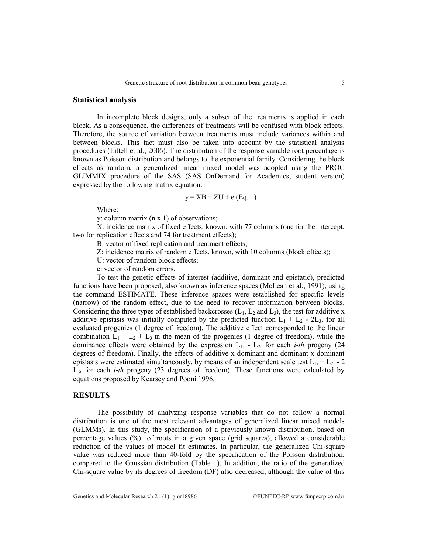## **Statistical analysis**

In incomplete block designs, only a subset of the treatments is applied in each block. As a consequence, the differences of treatments will be confused with block effects. Therefore, the source of variation between treatments must include variances within and between blocks. This fact must also be taken into account by the statistical analysis procedures (Littell et al., 2006). The distribution of the response variable root percentage is known as Poisson distribution and belongs to the exponential family. Considering the block effects as random, a generalized linear mixed model was adopted using the PROC GLIMMIX procedure of the SAS (SAS OnDemand for Academics, student version) expressed by the following matrix equation:

$$
y = XB + ZU + e (Eq. 1)
$$

Where:

y: column matrix (n x 1) of observations;

X: incidence matrix of fixed effects, known, with 77 columns (one for the intercept, two for replication effects and 74 for treatment effects);

B: vector of fixed replication and treatment effects;

Z: incidence matrix of random effects, known, with 10 columns (block effects);

U: vector of random block effects;

e: vector of random errors.

To test the genetic effects of interest (additive, dominant and epistatic), predicted functions have been proposed, also known as inference spaces (McLean et al., 1991), using the command ESTIMATE. These inference spaces were established for specific levels (narrow) of the random effect, due to the need to recover information between blocks. Considering the three types of established backcrosses  $(L_1, L_2$  and  $L_3$ ), the test for additive x additive epistasis was initially computed by the predicted function  $L_1 + L_2$  - 2L<sub>3</sub>, for all evaluated progenies (1 degree of freedom). The additive effect corresponded to the linear combination  $L_1 + L_2 + L_3$  in the mean of the progenies (1 degree of freedom), while the dominance effects were obtained by the expression  $L_{1i}$  -  $L_{2i}$  for each *i-th* progeny (24) degrees of freedom). Finally, the effects of additive x dominant and dominant x dominant epistasis were estimated simultaneously, by means of an independent scale test  $L_{1i} + L_{2i}$  - 2  $L_{3i}$  for each *i-th* progeny (23 degrees of freedom). These functions were calculated by equations proposed by Kearsey and Pooni 1996.

## **RESULTS**

The possibility of analyzing response variables that do not follow a normal distribution is one of the most relevant advantages of generalized linear mixed models (GLMMs). In this study, the specification of a previously known distribution, based on percentage values (%) of roots in a given space (grid squares), allowed a considerable reduction of the values of model fit estimates. In particular, the generalized Chi-square value was reduced more than 40-fold by the specification of the Poisson distribution, compared to the Gaussian distribution (Table 1). In addition, the ratio of the generalized Chi-square value by its degrees of freedom (DF) also decreased, although the value of this

Genetics and Molecular Research 21 (1): gmr18986 ©FUNPEC-RP www.funpecrp.com.br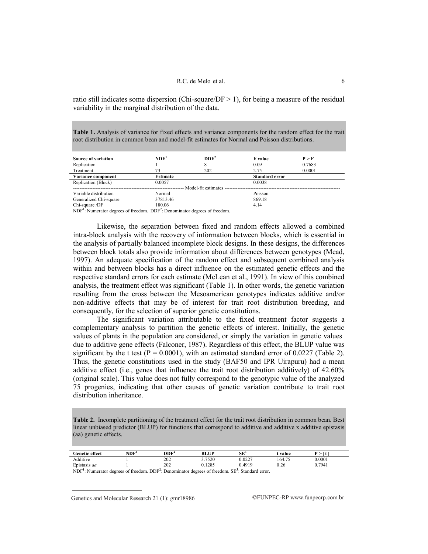ratio still indicates some dispersion (Chi-square/DF  $> 1$ ), for being a measure of the residual variability in the marginal distribution of the data.

**Table 1.** Analysis of variance for fixed effects and variance components for the random effect for the trait root distribution in common bean and model-fit estimates for Normal and Poisson distributions.

| NDF <sup>1</sup>       | DDF <sup>2</sup> | <b>F</b> value        | P > F  |  |  |  |  |
|------------------------|------------------|-----------------------|--------|--|--|--|--|
|                        |                  | 0.09                  | 0.7683 |  |  |  |  |
| 73                     | 202              | 2.75                  | 0.0001 |  |  |  |  |
| <b>Estimate</b>        |                  | <b>Standard error</b> |        |  |  |  |  |
| 0.0057                 |                  | 0.0038                |        |  |  |  |  |
| Model-fit estimates -- |                  |                       |        |  |  |  |  |
| Normal                 |                  | Poisson               |        |  |  |  |  |
| 37813.46               |                  | 869.18                |        |  |  |  |  |
| 180.06                 |                  | 4.14                  |        |  |  |  |  |
|                        | $n \cdot n$      |                       |        |  |  |  |  |

NDF<sup>1</sup>: Numerator degrees of freedom. DDF<sup>2</sup>: Denominator degrees of freedom.

Likewise, the separation between fixed and random effects allowed a combined intra-block analysis with the recovery of information between blocks, which is essential in the analysis of partially balanced incomplete block designs. In these designs, the differences between block totals also provide information about differences between genotypes (Mead, 1997). An adequate specification of the random effect and subsequent combined analysis within and between blocks has a direct influence on the estimated genetic effects and the respective standard errors for each estimate (McLean et al., 1991). In view of this combined analysis, the treatment effect was significant (Table 1). In other words, the genetic variation resulting from the cross between the Mesoamerican genotypes indicates additive and/or non-additive effects that may be of interest for trait root distribution breeding, and consequently, for the selection of superior genetic constitutions.

The significant variation attributable to the fixed treatment factor suggests a complementary analysis to partition the genetic effects of interest. Initially, the genetic values of plants in the population are considered, or simply the variation in genetic values due to additive gene effects (Falconer, 1987). Regardless of this effect, the BLUP value was significant by the t test ( $P = 0.0001$ ), with an estimated standard error of 0.0227 (Table 2). Thus, the genetic constitutions used in the study (BAF50 and IPR Uirapuru) had a mean additive effect (i.e., genes that influence the trait root distribution additively) of 42.60% (original scale). This value does not fully correspond to the genotypic value of the analyzed 75 progenies, indicating that other causes of genetic variation contribute to trait root distribution inheritance.

**Table 2.** Incomplete partitioning of the treatment effect for the trait root distribution in common bean. Best linear unbiased predictor (BLUP) for functions that correspond to additive and additive x additive epistasis (aa) genetic effects.

| Genetic effect                                                                                          | NDF | DDF <sup>2</sup> | <b>BLUP</b> | $SE^3$ | : value |        |
|---------------------------------------------------------------------------------------------------------|-----|------------------|-------------|--------|---------|--------|
| Additive                                                                                                |     | 202              | 3.7520      | 0.0227 | 164.75  | 0.0001 |
| Epistasis aa                                                                                            |     | 202              | 1285        | 0 4919 | 0.26    | 0.7941 |
| $NDF1$ : Numerator degrees of freedom. $DDF2$ : Denominator degrees of freedom. $SE3$ : Standard error. |     |                  |             |        |         |        |

Genetics and Molecular Research 21 (1): gmr18986 ©FUNPEC-RP www.funpecrp.com.br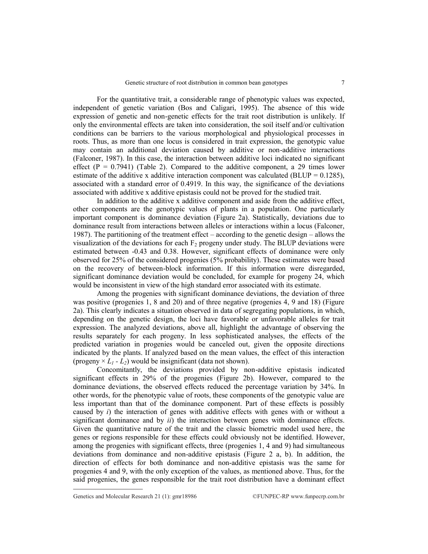For the quantitative trait, a considerable range of phenotypic values was expected, independent of genetic variation (Bos and Caligari, 1995). The absence of this wide expression of genetic and non-genetic effects for the trait root distribution is unlikely. If only the environmental effects are taken into consideration, the soil itself and/or cultivation conditions can be barriers to the various morphological and physiological processes in roots. Thus, as more than one locus is considered in trait expression, the genotypic value may contain an additional deviation caused by additive or non-additive interactions (Falconer, 1987). In this case, the interaction between additive loci indicated no significant effect  $(P = 0.7941)$  (Table 2). Compared to the additive component, a 29 times lower estimate of the additive x additive interaction component was calculated (BLUP =  $0.1285$ ), associated with a standard error of 0.4919. In this way, the significance of the deviations associated with additive x additive epistasis could not be proved for the studied trait.

In addition to the additive x additive component and aside from the additive effect, other components are the genotypic values of plants in a population. One particularly important component is dominance deviation (Figure 2a). Statistically, deviations due to dominance result from interactions between alleles or interactions within a locus (Falconer, 1987). The partitioning of the treatment effect – according to the genetic design – allows the visualization of the deviations for each  $F_2$  progeny under study. The BLUP deviations were estimated between -0.43 and 0.38. However, significant effects of dominance were only observed for 25% of the considered progenies (5% probability). These estimates were based on the recovery of between-block information. If this information were disregarded, significant dominance deviation would be concluded, for example for progeny 24, which would be inconsistent in view of the high standard error associated with its estimate.

Among the progenies with significant dominance deviations, the deviation of three was positive (progenies 1, 8 and 20) and of three negative (progenies 4, 9 and 18) (Figure 2a). This clearly indicates a situation observed in data of segregating populations, in which, depending on the genetic design, the loci have favorable or unfavorable alleles for trait expression. The analyzed deviations, above all, highlight the advantage of observing the results separately for each progeny. In less sophisticated analyses, the effects of the predicted variation in progenies would be canceled out, given the opposite directions indicated by the plants. If analyzed based on the mean values, the effect of this interaction (progeny  $\times$  *L*<sub>1</sub> *- L*<sub>2</sub>) would be insignificant (data not shown).

Concomitantly, the deviations provided by non-additive epistasis indicated significant effects in 29% of the progenies (Figure 2b). However, compared to the dominance deviations, the observed effects reduced the percentage variation by 34%. In other words, for the phenotypic value of roots, these components of the genotypic value are less important than that of the dominance component. Part of these effects is possibly caused by *i*) the interaction of genes with additive effects with genes with or without a significant dominance and by *ii*) the interaction between genes with dominance effects. Given the quantitative nature of the trait and the classic biometric model used here, the genes or regions responsible for these effects could obviously not be identified. However, among the progenies with significant effects, three (progenies 1, 4 and 9) had simultaneous deviations from dominance and non-additive epistasis (Figure 2 a, b). In addition, the direction of effects for both dominance and non-additive epistasis was the same for progenies 4 and 9, with the only exception of the values, as mentioned above. Thus, for the said progenies, the genes responsible for the trait root distribution have a dominant effect

Genetics and Molecular Research 21 (1): gmr18986 ©FUNPEC-RP www.funpecrp.com.br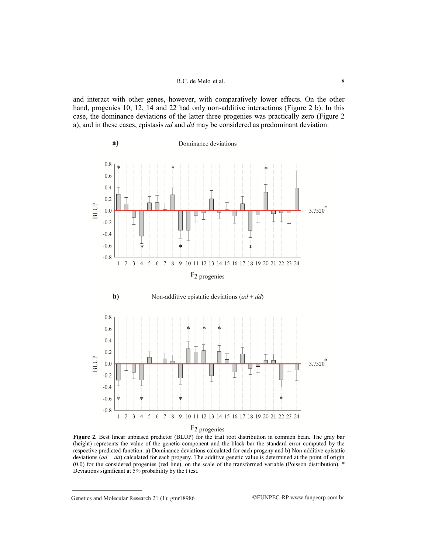and interact with other genes, however, with comparatively lower effects. On the other hand, progenies 10, 12, 14 and 22 had only non-additive interactions (Figure 2 b). In this case, the dominance deviations of the latter three progenies was practically zero (Figure 2 a), and in these cases, epistasis *ad* and *dd* may be considered as predominant deviation.



**Figure 2.** Best linear unbiased predictor (BLUP) for the trait root distribution in common bean. The gray bar (height) represents the value of the genetic component and the black bar the standard error computed by the respective predicted function: a) Dominance deviations calculated for each progeny and b) Non-additive epistatic deviations (*ad* + *dd*) calculated for each progeny. The additive genetic value is determined at the point of origin (0.0) for the considered progenies (red line), on the scale of the transformed variable (Poisson distribution). \* Deviations significant at 5% probability by the t test.

Genetics and Molecular Research 21 (1):  $gmr18986$  ©FUNPEC-RP www.funpecrp.com.br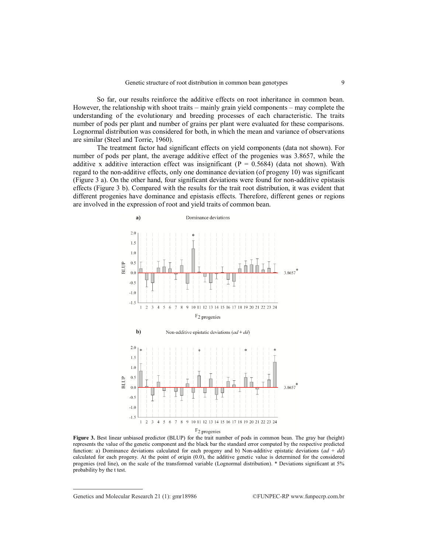So far, our results reinforce the additive effects on root inheritance in common bean. However, the relationship with shoot traits – mainly grain yield components – may complete the understanding of the evolutionary and breeding processes of each characteristic. The traits number of pods per plant and number of grains per plant were evaluated for these comparisons. Lognormal distribution was considered for both, in which the mean and variance of observations are similar (Steel and Torrie, 1960).

The treatment factor had significant effects on yield components (data not shown). For number of pods per plant, the average additive effect of the progenies was 3.8657, while the additive x additive interaction effect was insignificant ( $P = 0.5684$ ) (data not shown). With regard to the non-additive effects, only one dominance deviation (of progeny 10) was significant (Figure 3 a). On the other hand, four significant deviations were found for non-additive epistasis effects (Figure 3 b). Compared with the results for the trait root distribution, it was evident that different progenies have dominance and epistasis effects. Therefore, different genes or regions are involved in the expression of root and yield traits of common bean.



**Figure 3.** Best linear unbiased predictor (BLUP) for the trait number of pods in common bean. The gray bar (height) represents the value of the genetic component and the black bar the standard error computed by the respective predicted function: a) Dominance deviations calculated for each progeny and b) Non-additive epistatic deviations (*ad* + *dd*) calculated for each progeny. At the point of origin (0.0), the additive genetic value is determined for the considered progenies (red line), on the scale of the transformed variable (Lognormal distribution). \* Deviations significant at 5% probability by the t test.

Genetics and Molecular Research 21 (1):  $gm18986$  ©FUNPEC-RP www.funpecrp.com.br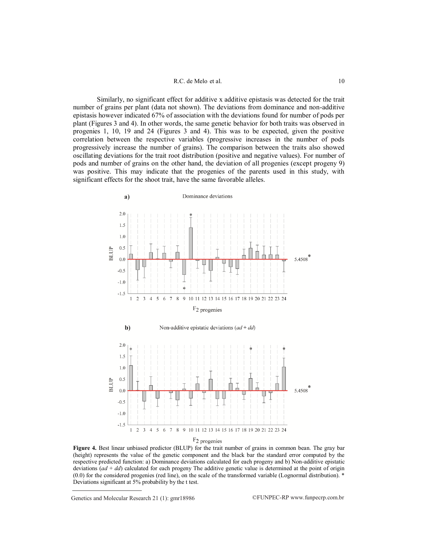#### R.C. de Melo et al. 10

Similarly, no significant effect for additive x additive epistasis was detected for the trait number of grains per plant (data not shown). The deviations from dominance and non-additive epistasis however indicated 67% of association with the deviations found for number of pods per plant (Figures 3 and 4). In other words, the same genetic behavior for both traits was observed in progenies 1, 10, 19 and 24 (Figures 3 and 4). This was to be expected, given the positive correlation between the respective variables (progressive increases in the number of pods progressively increase the number of grains). The comparison between the traits also showed oscillating deviations for the trait root distribution (positive and negative values). For number of pods and number of grains on the other hand, the deviation of all progenies (except progeny 9) was positive. This may indicate that the progenies of the parents used in this study, with significant effects for the shoot trait, have the same favorable alleles.



F<sub>2</sub> progenies

**Figure 4.** Best linear unbiased predictor (BLUP) for the trait number of grains in common bean. The gray bar (height) represents the value of the genetic component and the black bar the standard error computed by the respective predicted function: a) Dominance deviations calculated for each progeny and b) Non-additive epistatic deviations (*ad* + *dd*) calculated for each progeny The additive genetic value is determined at the point of origin (0.0) for the considered progenies (red line), on the scale of the transformed variable (Lognormal distribution). \* Deviations significant at 5% probability by the t test.

Genetics and Molecular Research 21 (1):  $gmr18986$  ©FUNPEC-RP www.funpecrp.com.br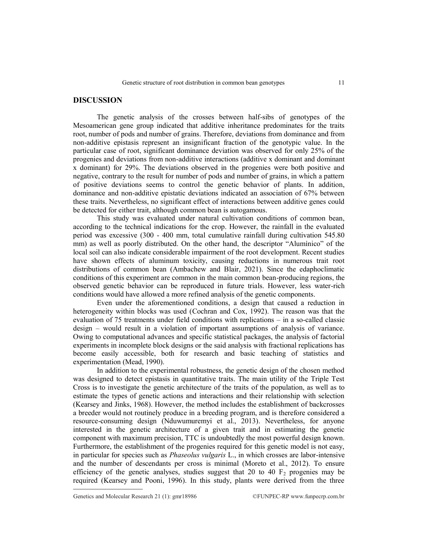## **DISCUSSION**

The genetic analysis of the crosses between half-sibs of genotypes of the Mesoamerican gene group indicated that additive inheritance predominates for the traits root, number of pods and number of grains. Therefore, deviations from dominance and from non-additive epistasis represent an insignificant fraction of the genotypic value. In the particular case of root, significant dominance deviation was observed for only 25% of the progenies and deviations from non-additive interactions (additive x dominant and dominant x dominant) for 29%. The deviations observed in the progenies were both positive and negative, contrary to the result for number of pods and number of grains, in which a pattern of positive deviations seems to control the genetic behavior of plants. In addition, dominance and non-additive epistatic deviations indicated an association of 67% between these traits. Nevertheless, no significant effect of interactions between additive genes could be detected for either trait, although common bean is autogamous.

This study was evaluated under natural cultivation conditions of common bean, according to the technical indications for the crop. However, the rainfall in the evaluated period was excessive (300 - 400 mm, total cumulative rainfall during cultivation 545.80 mm) as well as poorly distributed. On the other hand, the descriptor "Alumínico" of the local soil can also indicate considerable impairment of the root development. Recent studies have shown effects of aluminum toxicity, causing reductions in numerous trait root distributions of common bean (Ambachew and Blair, 2021). Since the edaphoclimatic conditions of this experiment are common in the main common bean-producing regions, the observed genetic behavior can be reproduced in future trials. However, less water-rich conditions would have allowed a more refined analysis of the genetic components.

Even under the aforementioned conditions, a design that caused a reduction in heterogeneity within blocks was used (Cochran and Cox, 1992). The reason was that the evaluation of 75 treatments under field conditions with replications – in a so-called classic design – would result in a violation of important assumptions of analysis of variance. Owing to computational advances and specific statistical packages, the analysis of factorial experiments in incomplete block designs or the said analysis with fractional replications has become easily accessible, both for research and basic teaching of statistics and experimentation (Mead, 1990).

In addition to the experimental robustness, the genetic design of the chosen method was designed to detect epistasis in quantitative traits. The main utility of the Triple Test Cross is to investigate the genetic architecture of the traits of the population, as well as to estimate the types of genetic actions and interactions and their relationship with selection (Kearsey and Jinks, 1968). However, the method includes the establishment of backcrosses a breeder would not routinely produce in a breeding program, and is therefore considered a resource-consuming design (Nduwumuremyi et al., 2013). Nevertheless, for anyone interested in the genetic architecture of a given trait and in estimating the genetic component with maximum precision, TTC is undoubtedly the most powerful design known. Furthermore, the establishment of the progenies required for this genetic model is not easy, in particular for species such as *Phaseolus vulgaris* L., in which crosses are labor-intensive and the number of descendants per cross is minimal (Moreto et al., 2012). To ensure efficiency of the genetic analyses, studies suggest that 20 to 40  $F_2$  progenies may be required (Kearsey and Pooni, 1996). In this study, plants were derived from the three

Genetics and Molecular Research 21 (1): gmr18986 ©FUNPEC-RP www.funpecrp.com.br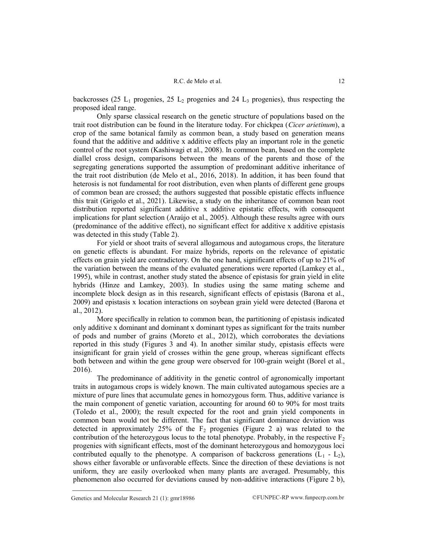backcrosses (25 L<sub>1</sub> progenies, 25 L<sub>2</sub> progenies and 24 L<sub>3</sub> progenies), thus respecting the proposed ideal range.

Only sparse classical research on the genetic structure of populations based on the trait root distribution can be found in the literature today. For chickpea (*Cicer arietinum*), a crop of the same botanical family as common bean, a study based on generation means found that the additive and additive x additive effects play an important role in the genetic control of the root system (Kashiwagi et al., 2008). In common bean, based on the complete diallel cross design, comparisons between the means of the parents and those of the segregating generations supported the assumption of predominant additive inheritance of the trait root distribution (de Melo et al., 2016, 2018). In addition, it has been found that heterosis is not fundamental for root distribution, even when plants of different gene groups of common bean are crossed; the authors suggested that possible epistatic effects influence this trait (Grigolo et al., 2021). Likewise, a study on the inheritance of common bean root distribution reported significant additive x additive epistatic effects, with consequent implications for plant selection (Araújo et al., 2005). Although these results agree with ours (predominance of the additive effect), no significant effect for additive x additive epistasis was detected in this study (Table 2).

For yield or shoot traits of several allogamous and autogamous crops, the literature on genetic effects is abundant. For maize hybrids, reports on the relevance of epistatic effects on grain yield are contradictory. On the one hand, significant effects of up to 21% of the variation between the means of the evaluated generations were reported (Lamkey et al., 1995), while in contrast, another study stated the absence of epistasis for grain yield in elite hybrids (Hinze and Lamkey, 2003). In studies using the same mating scheme and incomplete block design as in this research, significant effects of epistasis (Barona et al., 2009) and epistasis x location interactions on soybean grain yield were detected (Barona et al., 2012).

More specifically in relation to common bean, the partitioning of epistasis indicated only additive x dominant and dominant x dominant types as significant for the traits number of pods and number of grains (Moreto et al., 2012), which corroborates the deviations reported in this study (Figures 3 and 4). In another similar study, epistasis effects were insignificant for grain yield of crosses within the gene group, whereas significant effects both between and within the gene group were observed for 100-grain weight (Borel et al., 2016).

The predominance of additivity in the genetic control of agronomically important traits in autogamous crops is widely known. The main cultivated autogamous species are a mixture of pure lines that accumulate genes in homozygous form. Thus, additive variance is the main component of genetic variation, accounting for around 60 to 90% for most traits (Toledo et al., 2000); the result expected for the root and grain yield components in common bean would not be different. The fact that significant dominance deviation was detected in approximately 25% of the  $F_2$  progenies (Figure 2 a) was related to the contribution of the heterozygous locus to the total phenotype. Probably, in the respective  $F_2$ progenies with significant effects, most of the dominant heterozygous and homozygous loci contributed equally to the phenotype. A comparison of backcross generations  $(L_1 - L_2)$ , shows either favorable or unfavorable effects. Since the direction of these deviations is not uniform, they are easily overlooked when many plants are averaged. Presumably, this phenomenon also occurred for deviations caused by non-additive interactions (Figure 2 b),

Genetics and Molecular Research 21 (1):  $gmr18986$  ©FUNPEC-RP www.funpecrp.com.br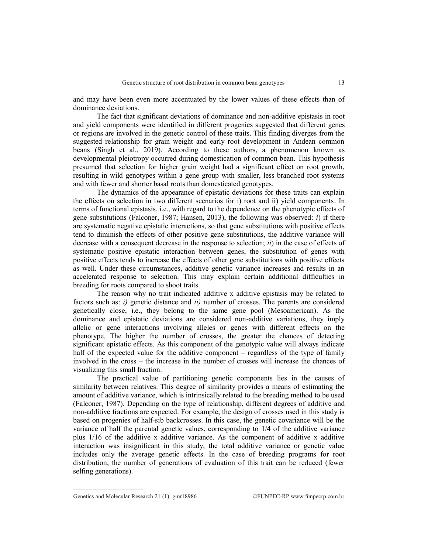and may have been even more accentuated by the lower values of these effects than of dominance deviations.

The fact that significant deviations of dominance and non-additive epistasis in root and yield components were identified in different progenies suggested that different genes or regions are involved in the genetic control of these traits. This finding diverges from the suggested relationship for grain weight and early root development in Andean common beans (Singh et al., 2019). According to these authors, a phenomenon known as developmental pleiotropy occurred during domestication of common bean. This hypothesis presumed that selection for higher grain weight had a significant effect on root growth, resulting in wild genotypes within a gene group with smaller, less branched root systems and with fewer and shorter basal roots than domesticated genotypes.

The dynamics of the appearance of epistatic deviations for these traits can explain the effects on selection in two different scenarios for i) root and ii) yield components. In terms of functional epistasis, i.e., with regard to the dependence on the phenotypic effects of gene substitutions (Falconer, 1987; Hansen, 2013), the following was observed: *i*) if there are systematic negative epistatic interactions, so that gene substitutions with positive effects tend to diminish the effects of other positive gene substitutions, the additive variance will decrease with a consequent decrease in the response to selection; *ii*) in the case of effects of systematic positive epistatic interaction between genes, the substitution of genes with positive effects tends to increase the effects of other gene substitutions with positive effects as well. Under these circumstances, additive genetic variance increases and results in an accelerated response to selection. This may explain certain additional difficulties in breeding for roots compared to shoot traits.

The reason why no trait indicated additive x additive epistasis may be related to factors such as: *i)* genetic distance and *ii)* number of crosses. The parents are considered genetically close, i.e., they belong to the same gene pool (Mesoamerican). As the dominance and epistatic deviations are considered non-additive variations, they imply allelic or gene interactions involving alleles or genes with different effects on the phenotype. The higher the number of crosses, the greater the chances of detecting significant epistatic effects. As this component of the genotypic value will always indicate half of the expected value for the additive component – regardless of the type of family involved in the cross – the increase in the number of crosses will increase the chances of visualizing this small fraction.

The practical value of partitioning genetic components lies in the causes of similarity between relatives. This degree of similarity provides a means of estimating the amount of additive variance, which is intrinsically related to the breeding method to be used (Falconer, 1987). Depending on the type of relationship, different degrees of additive and non-additive fractions are expected. For example, the design of crosses used in this study is based on progenies of half-sib backcrosses. In this case, the genetic covariance will be the variance of half the parental genetic values, corresponding to 1/4 of the additive variance plus 1/16 of the additive x additive variance. As the component of additive x additive interaction was insignificant in this study, the total additive variance or genetic value includes only the average genetic effects. In the case of breeding programs for root distribution, the number of generations of evaluation of this trait can be reduced (fewer selfing generations).

Genetics and Molecular Research 21 (1): gmr18986 ©FUNPEC-RP www.funpecrp.com.br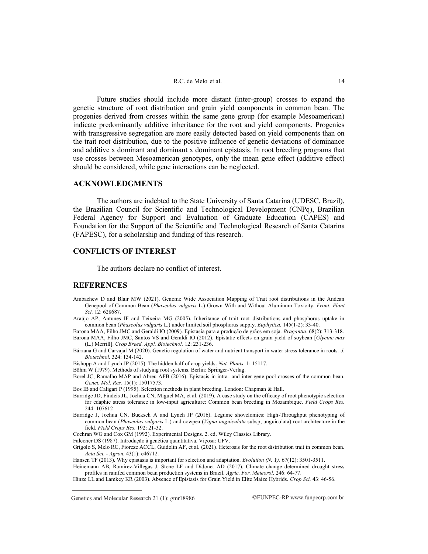Future studies should include more distant (inter-group) crosses to expand the genetic structure of root distribution and grain yield components in common bean. The progenies derived from crosses within the same gene group (for example Mesoamerican) indicate predominantly additive inheritance for the root and yield components. Progenies with transgressive segregation are more easily detected based on yield components than on the trait root distribution, due to the positive influence of genetic deviations of dominance and additive x dominant and dominant x dominant epistasis. In root breeding programs that use crosses between Mesoamerican genotypes, only the mean gene effect (additive effect) should be considered, while gene interactions can be neglected.

# **ACKNOWLEDGMENTS**

The authors are indebted to the State University of Santa Catarina (UDESC, Brazil), the Brazilian Council for Scientific and Technological Development (CNPq), Brazilian Federal Agency for Support and Evaluation of Graduate Education (CAPES) and Foundation for the Support of the Scientific and Technological Research of Santa Catarina (FAPESC), for a scholarship and funding of this research.

## **CONFLICTS OF INTEREST**

The authors declare no conflict of interest.

# **REFERENCES**

- Ambachew D and Blair MW (2021). Genome Wide Association Mapping of Trait root distributions in the Andean Genepool of Common Bean (*Phaseolus vulgaris* L.) Grown With and Without Aluminum Toxicity. *Front. Plant Sci.* 12: 628687.
- Araújo AP, Antunes IF and Teixeira MG (2005). Inheritance of trait root distributions and phosphorus uptake in common bean (*Phaseolus vulgaris* L.) under limited soil phosphorus supply. *Euphytica.* 145(1-2): 33-40.
- Barona MAA, Filho JMC and Geraldi IO (2009). Epistasia para a produção de grãos em soja. *Bragantia.* 68(2): 313-318. Barona MAA, Filho JMC, Santos VS and Geraldi IO (2012). Epistatic effects on grain yield of soybean [*Glycine max* (L.) Merrill]. *Crop Breed. Appl. Biotechnol.* 12: 231-236.
- Bárzana G and Carvajal M (2020). Genetic regulation of water and nutrient transport in water stress tolerance in roots. *J. Biotechnol.* 324: 134-142.
- Bishopp A and Lynch JP (2015). The hidden half of crop yields. *Nat. Plants.* 1: 15117.
- Böhm W (1979). Methods of studying root systems. Berlin: Springer-Verlag.
- Borel JC, Ramalho MAP and Abreu AFB (2016). Epistasis in intra- and inter-gene pool crosses of the common bean*. Genet. Mol. Res.* 15(1): 15017573.
- Bos IB and Caligari P (1995). Selection methods in plant breeding. London: Chapman & Hall.
- Burridge JD, Findeis JL, Jochua CN, Miguel MA, et al. (2019). A case study on the efficacy of root phenotypic selection for edaphic stress tolerance in low-input agriculture: Common bean breeding in Mozambique. *Field Crops Res.* 244: 107612
- Burridge J, Jochua CN, Bucksch A and Lynch JP (2016). Legume shovelomics: High-Throughput phenotyping of common bean (*Phaseolus vulgaris* L.) and cowpea (*Vigna unguiculata* subsp, unguiculata) root architecture in the field. *Field Crops Res.* 192: 21-32.
- Cochran WG and Cox GM (1992). Experimental Designs. 2. ed. Wiley Classics Library.

Falconer DS (1987). Introdução à genética quantitativa. Viçosa: UFV.

- Grigolo S, Melo RC, Fioreze ACCL, Guidolin AF, et al. (2021). Heterosis for the root distribution trait in common bean*. Acta Sci. - Agron.* 43(1): e46712.
- Hansen TF (2013). Why epistasis is important for selection and adaptation. *Evolution (N. Y).* 67(12): 3501-3511.
- Heinemann AB, Ramirez-Villegas J, Stone LF and Didonet AD (2017). Climate change determined drought stress profiles in rainfed common bean production systems in Brazil. *Agric. For. Meteorol.* 246: 64-77.
- Hinze LL and Lamkey KR (2003). Absence of Epistasis for Grain Yield in Elite Maize Hybrids. *Crop Sci.* 43: 46-56.

Genetics and Molecular Research 21 (1): gmr18986 ©FUNPEC-RP www.funpecrp.com.br